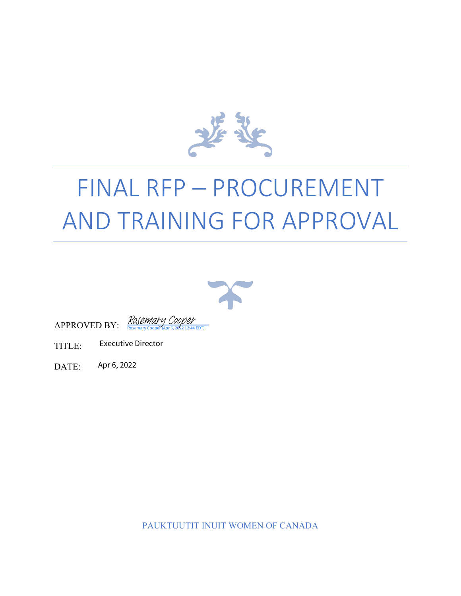

# FINAL RFP – PROCUREMENT AND TRAINING FOR APPROVAL





- TITLE: Executive Director
- DATE: Apr 6, 2022

PAUKTUUTIT INUIT WOMEN OF CANADA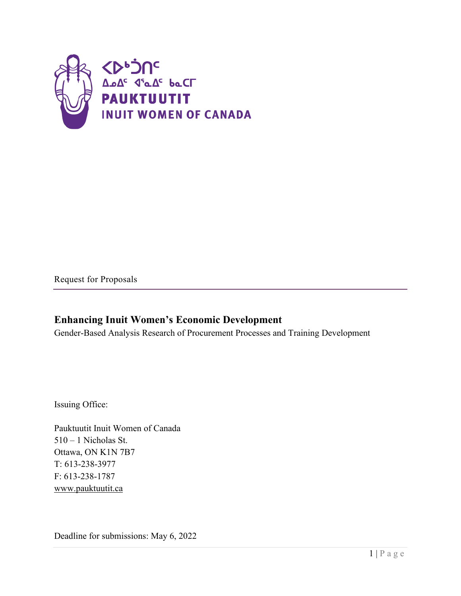

Request for Proposals

#### **Enhancing Inuit Women's Economic Development**

Gender-Based Analysis Research of Procurement Processes and Training Development

Issuing Office:

Pauktuutit Inuit Women of Canada 510 – 1 Nicholas St. Ottawa, ON K1N 7B7 T: 613-238-3977 F: 613-238-1787 [www.pauktuutit.ca](http://www.pauktuutit.ca/)

Deadline for submissions: May 6, 2022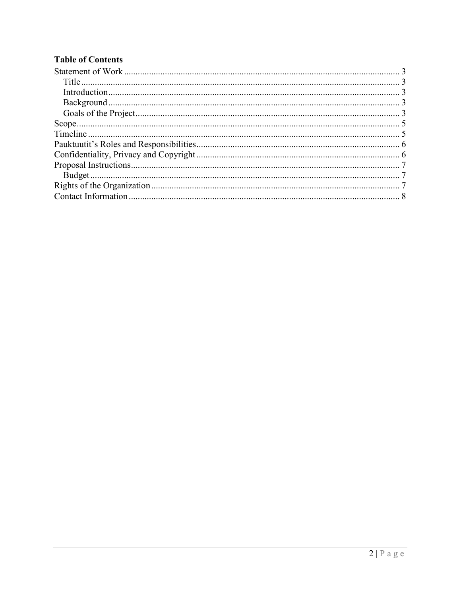#### **Table of Contents**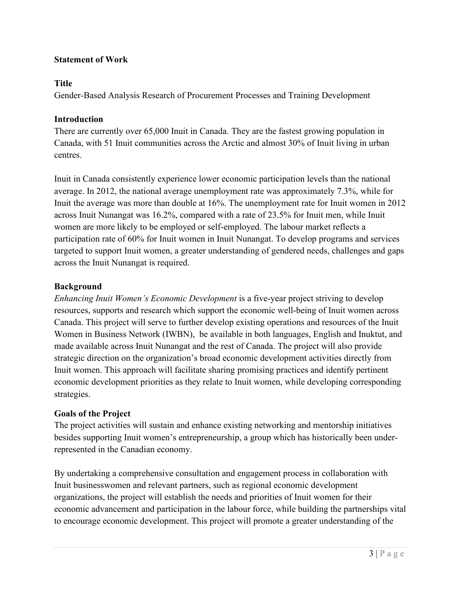#### <span id="page-3-5"></span><span id="page-3-0"></span>**Statement of Work**

#### <span id="page-3-1"></span>**Title**

Gender-Based Analysis Research of Procurement Processes and Training Development

#### <span id="page-3-2"></span>**Introduction**

There are currently over 65,000 Inuit in Canada. They are the fastest growing population in Canada, with 51 Inuit communities across the Arctic and almost 30% of Inuit living in urban centres.

Inuit in Canada consistently experience lower economic participation levels than the national average. In 2012, the national average unemployment rate was approximately 7.3%, while for Inuit the average was more than double at 16%. The unemployment rate for Inuit women in 2012 across Inuit Nunangat was 16.2%, compared with a rate of 23.5% for Inuit men, while Inuit women are more likely to be employed or self-employed. The labour market reflects a participation rate of 60% for Inuit women in Inuit Nunangat. To develop programs and services targeted to support Inuit women, a greater understanding of gendered needs, challenges and gaps across the Inuit Nunangat is required.

#### <span id="page-3-3"></span>**Background**

<span id="page-3-4"></span>*Enhancing Inuit Women's Economic Development* is a five-year project striving to develop resources, supports and research which support the economic well-being of Inuit women across Canada. This project will serve to further develop existing operations and resources of the Inuit Women in Business Network (IWBN), be available in both languages, English and Inuktut, and made available across Inuit Nunangat and the rest of Canada. The project will also provide strategic direction on the organization's broad economic development activities directly from Inuit women. This approach will facilitate sharing promising practices and identify pertinent economic development priorities as they relate to Inuit women, while developing corresponding strategies.

#### **Goals of the Project**

The project activities will sustain and enhance existing networking and mentorship initiatives besides supporting Inuit women's entrepreneurship, a group which has historically been underrepresented in the Canadian economy.

By undertaking a comprehensive consultation and engagement process in collaboration with Inuit businesswomen and relevant partners, such as regional economic development organizations, the project will establish the needs and priorities of Inuit women for their economic advancement and participation in the labour force, while building the partnerships vital to encourage economic development. This project will promote a greater understanding of the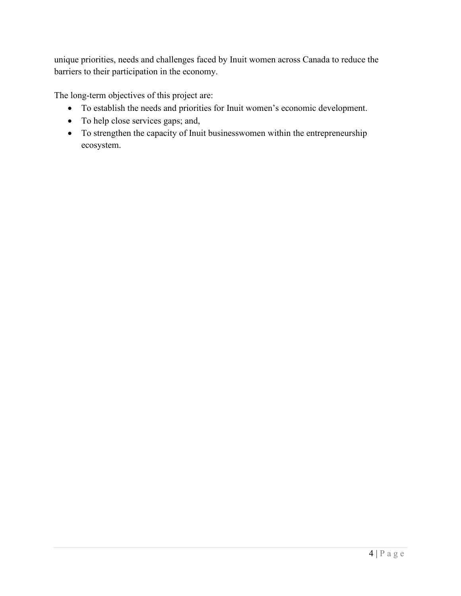unique priorities, needs and challenges faced by Inuit women across Canada to reduce the barriers to their participation in the economy.

The long-term objectives of this project are:

- To establish the needs and priorities for Inuit women's economic development.
- To help close services gaps; and,
- To strengthen the capacity of Inuit businesswomen within the entrepreneurship ecosystem.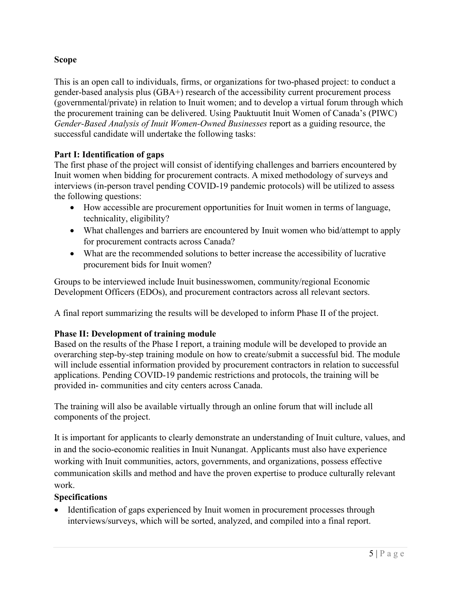#### <span id="page-5-2"></span><span id="page-5-0"></span>**Scope**

This is an open call to individuals, firms, or organizations for two-phased project: to conduct a gender-based analysis plus (GBA+) research of the accessibility current procurement process (governmental/private) in relation to Inuit women; and to develop a virtual forum through which the procurement training can be delivered. Using Pauktuutit Inuit Women of Canada's (PIWC) *Gender-Based Analysis of Inuit Women-Owned Businesses* report as a guiding resource, the successful candidate will undertake the following tasks:

#### **Part I: Identification of gaps**

The first phase of the project will consist of identifying challenges and barriers encountered by Inuit women when bidding for procurement contracts. A mixed methodology of surveys and interviews (in-person travel pending COVID-19 pandemic protocols) will be utilized to assess the following questions:

- How accessible are procurement opportunities for Inuit women in terms of language, technicality, eligibility?
- What challenges and barriers are encountered by Inuit women who bid/attempt to apply for procurement contracts across Canada?
- What are the recommended solutions to better increase the accessibility of lucrative procurement bids for Inuit women?

Groups to be interviewed include Inuit businesswomen, community/regional Economic Development Officers (EDOs), and procurement contractors across all relevant sectors.

A final report summarizing the results will be developed to inform Phase II of the project.

#### **Phase II: Development of training module**

Based on the results of the Phase I report, a training module will be developed to provide an overarching step-by-step training module on how to create/submit a successful bid. The module will include essential information provided by procurement contractors in relation to successful applications. Pending COVID-19 pandemic restrictions and protocols, the training will be provided in- communities and city centers across Canada.

The training will also be available virtually through an online forum that will include all components of the project.

It is important for applicants to clearly demonstrate an understanding of Inuit culture, values, and in and the socio-economic realities in Inuit Nunangat. Applicants must also have experience working with Inuit communities, actors, governments, and organizations, possess effective communication skills and method and have the proven expertise to produce culturally relevant work.

#### **Specifications**

<span id="page-5-1"></span>• Identification of gaps experienced by Inuit women in procurement processes through interviews/surveys, which will be sorted, analyzed, and compiled into a final report.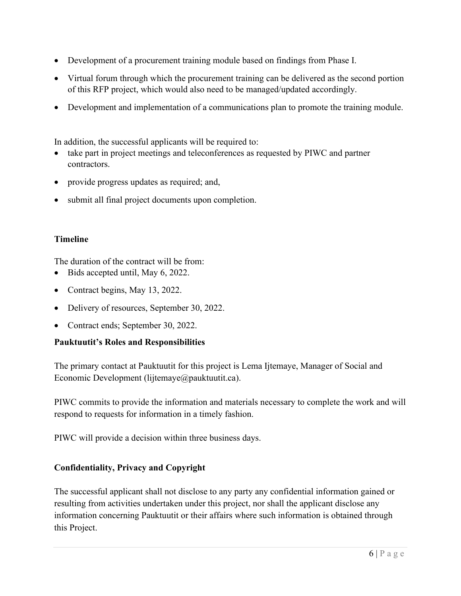- <span id="page-6-2"></span>• Development of a procurement training module based on findings from Phase I.
- Virtual forum through which the procurement training can be delivered as the second portion of this RFP project, which would also need to be managed/updated accordingly.
- Development and implementation of a communications plan to promote the training module.

In addition, the successful applicants will be required to:

- take part in project meetings and teleconferences as requested by PIWC and partner contractors.
- provide progress updates as required; and,
- submit all final project documents upon completion.

#### **Timeline**

<span id="page-6-0"></span>The duration of the contract will be from:

- Bids accepted until, May 6, 2022.
- Contract begins, May 13, 2022.
- Delivery of resources, September 30, 2022.
- Contract ends; September 30, 2022.

#### **Pauktuutit's Roles and Responsibilities**

The primary contact at Pauktuutit for this project is Lema Ijtemaye, Manager of Social and Economic Development (lijtemaye@pauktuutit.ca).

PIWC commits to provide the information and materials necessary to complete the work and will respond to requests for information in a timely fashion.

<span id="page-6-1"></span>PIWC will provide a decision within three business days.

#### **Confidentiality, Privacy and Copyright**

The successful applicant shall not disclose to any party any confidential information gained or resulting from activities undertaken under this project, nor shall the applicant disclose any information concerning Pauktuutit or their affairs where such information is obtained through this Project.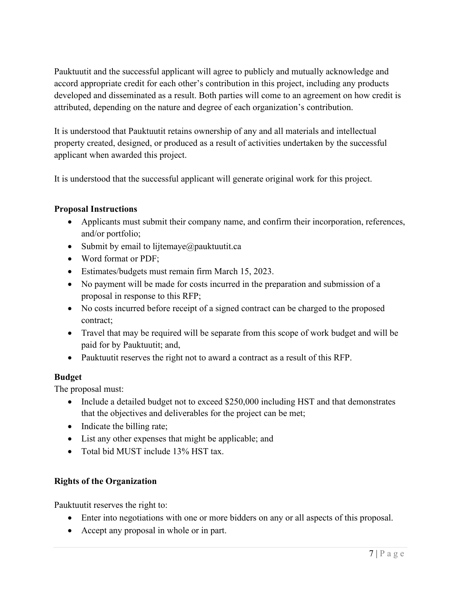<span id="page-7-3"></span>Pauktuutit and the successful applicant will agree to publicly and mutually acknowledge and accord appropriate credit for each other's contribution in this project, including any products developed and disseminated as a result. Both parties will come to an agreement on how credit is attributed, depending on the nature and degree of each organization's contribution.

It is understood that Pauktuutit retains ownership of any and all materials and intellectual property created, designed, or produced as a result of activities undertaken by the successful applicant when awarded this project.

<span id="page-7-0"></span>It is understood that the successful applicant will generate original work for this project.

#### **Proposal Instructions**

- Applicants must submit their company name, and confirm their incorporation, references, and/or portfolio;
- Submit by email to lijtemaye $@$ pauktuutit.ca
- Word format or PDF;
- Estimates/budgets must remain firm March 15, 2023.
- No payment will be made for costs incurred in the preparation and submission of a proposal in response to this RFP;
- No costs incurred before receipt of a signed contract can be charged to the proposed contract;
- Travel that may be required will be separate from this scope of work budget and will be paid for by Pauktuutit; and,
- Pauktuutit reserves the right not to award a contract as a result of this RFP.

#### <span id="page-7-1"></span>**Budget**

The proposal must:

- Include a detailed budget not to exceed \$250,000 including HST and that demonstrates that the objectives and deliverables for the project can be met;
- Indicate the billing rate;
- List any other expenses that might be applicable; and
- <span id="page-7-2"></span>• Total bid MUST include 13% HST tax.

#### **Rights of the Organization**

Pauktuutit reserves the right to:

- Enter into negotiations with one or more bidders on any or all aspects of this proposal.
- Accept any proposal in whole or in part.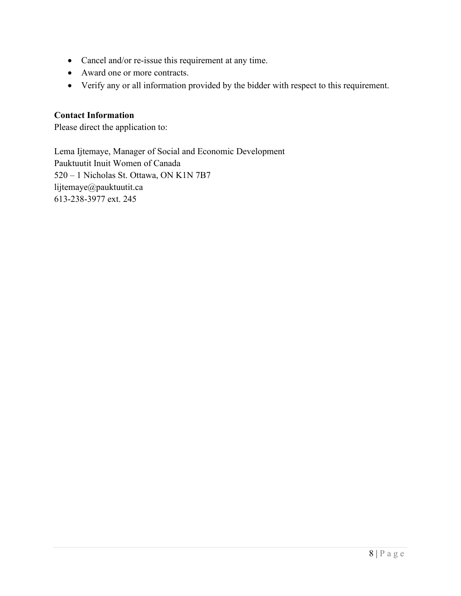- <span id="page-8-1"></span>• Cancel and/or re-issue this requirement at any time.
- Award one or more contracts.
- <span id="page-8-0"></span>• Verify any or all information provided by the bidder with respect to this requirement.

#### **Contact Information**

Please direct the application to:

Lema Ijtemaye, Manager of Social and Economic Development Pauktuutit Inuit Women of Canada 520 – 1 Nicholas St. Ottawa, ON K1N 7B7 lijtemaye@pauktuutit.ca 613-238-3977 ext. 245